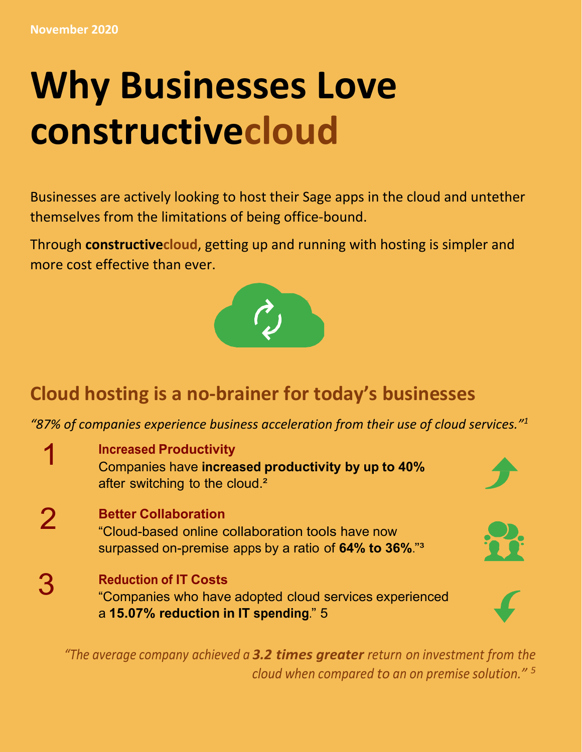# **Why Businesses Love constructivecloud**

Businesses are actively looking to host their Sage apps in the cloud and untether themselves from the limitations of being office‐bound.

Through **constructivecloud**, getting up and running with hosting is simpler and more cost effective than ever.



## **Cloud hosting is a no‐brainer for today's businesses**

*"87% of companies experience business acceleration from their use of cloud services."1*

3 1  $\mathcal P$ **Increased Productivity** Companies have **increased productivity by up to 40%**  after switching to the cloud.<sup>2</sup> **Better Collaboration** "Cloud-based online collaboration tools have now surpassed on-premise apps by a ratio of **64% to 36%**."³ **Reduction of IT Costs** "Companies who have adopted cloud services experienced a **15.07% reduction in IT spending**." 5

*"The average company achieved a 3.2 times greater return on investment from the cloud when compared to an on premise solution." 5*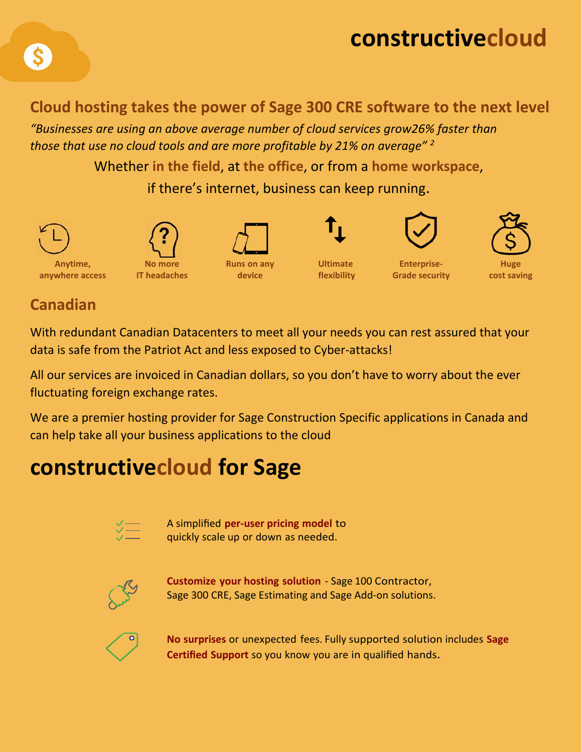## **constructivecloud**

#### **Cloud hosting takes the power of Sage 300 CRE software to the next level**

*"Businesses are using an above average number of cloud services grow26% faster than those that use no cloud tools and are more profitable by 21% on average" 2* 

Whether **in the field**, at **the office**, or from a **home workspace**,

if there's internet, business can keep running.



#### **Canadian**

With redundant Canadian Datacenters to meet all your needs you can rest assured that your data is safe from the Patriot Act and less exposed to Cyber‐attacks!

All our services are invoiced in Canadian dollars, so you don't have to worry about the ever fluctuating foreign exchange rates.

We are a premier hosting provider for Sage Construction Specific applications in Canada and can help take all your business applications to the cloud

## **constructivecloud for Sage**



A simplified **per‐user pricing model** to quickly scale up or down as needed.



**Customize your hosting solution** ‐ Sage 100 Contractor, Sage 300 CRE, Sage Estimating and Sage Add‐on solutions.



**No surprises** or unexpected fees. Fully supported solution includes **Sage Certified Support** so you know you are in qualified hands.